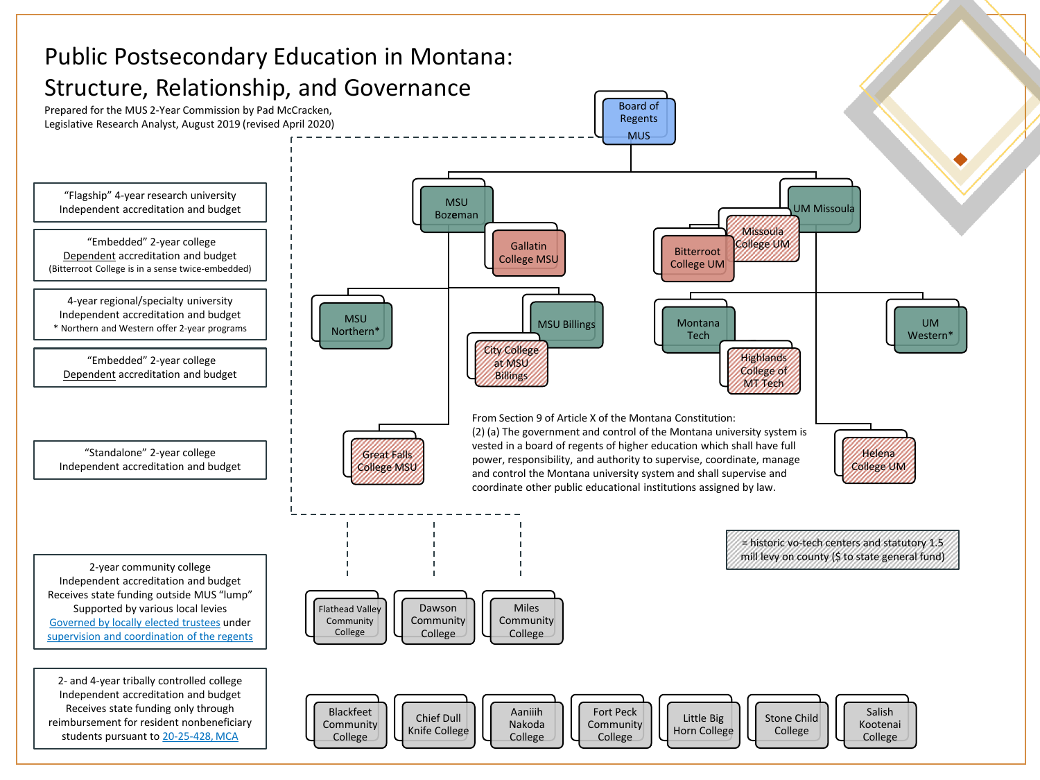